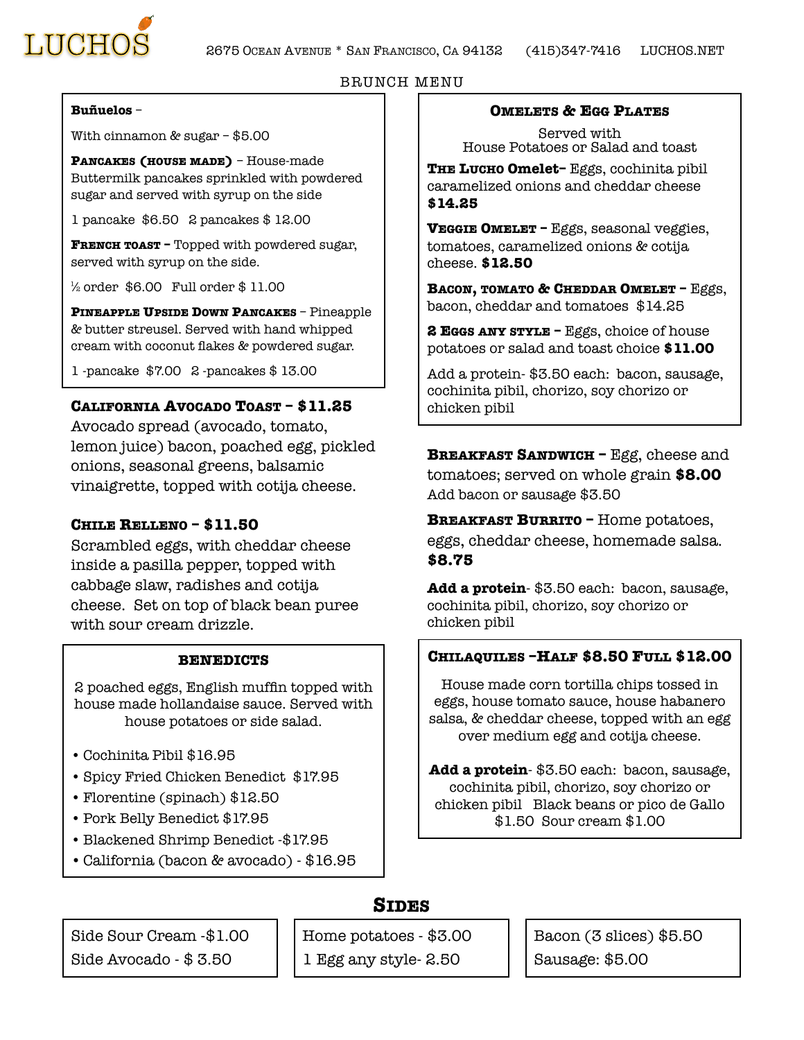



#### BRUNCH MENU

#### **Buñuelos** –

With cinnamon & sugar – \$5.00

**PANCAKES (HOUSE MADE)** – House-made Buttermilk pancakes sprinkled with powdered sugar and served with syrup on the side

1 pancake \$6.50 2 pancakes \$ 12.00

**FRENCH TOAST –** Topped with powdered sugar, served with syrup on the side.

 $\frac{1}{2}$  order \$6.00 Full order \$11.00

**PINEAPPLE UPSIDE DOWN PANCAKES** – Pineapple & butter streusel. Served with hand whipped cream with coconut flakes & powdered sugar.

1 -pancake \$7.00 2 -pancakes \$ 13.00

#### **CALIFORNIA AVOCADO TOAST – \$11.25**

Avocado spread (avocado, tomato, lemon juice) bacon, poached egg, pickled onions, seasonal greens, balsamic vinaigrette, topped with cotija cheese.

#### **CHILE RELLENO – \$11.50**

Scrambled eggs, with cheddar cheese inside a pasilla pepper, topped with cabbage slaw, radishes and cotija cheese. Set on top of black bean puree with sour cream drizzle.

#### **BENEDICTS**

2 poached eggs, English muffin topped with house made hollandaise sauce. Served with house potatoes or side salad.

- Cochinita Pibil \$16.95
- Spicy Fried Chicken Benedict \$17.95
- Florentine (spinach) \$12.50
- Pork Belly Benedict \$17.95
- Blackened Shrimp Benedict -\$17.95
- •California (bacon & avocado) \$16.95

**OMELETS & EGG PLATES**

Served with House Potatoes or Salad and toast

**THE LUCHO Omelet–** Eggs, cochinita pibil caramelized onions and cheddar cheese **\$14.25** 

**VEGGIE OMELET –** Eggs, seasonal veggies, tomatoes, caramelized onions & cotija cheese. **\$12.50** 

**BACON, TOMATO & CHEDDAR OMELET –** Eggs, bacon, cheddar and tomatoes \$14.25

**2 EGGS ANY STYLE –** Eggs, choice of house potatoes or salad and toast choice **\$11.00** 

Add a protein- \$3.50 each: bacon, sausage, cochinita pibil, chorizo, soy chorizo or chicken pibil

**BREAKFAST SANDWICH - Egg, cheese and** tomatoes; served on whole grain **\$8.00**  Add bacon or sausage \$3.50

**BREAKFAST BURRITO –** Home potatoes, eggs, cheddar cheese, homemade salsa. **\$8.75** 

**Add a protein**- \$3.50 each: bacon, sausage, cochinita pibil, chorizo, soy chorizo or chicken pibil

#### **CHILAQUILES –HALF \$8.50 FULL \$12.00**

House made corn tortilla chips tossed in eggs, house tomato sauce, house habanero salsa, & cheddar cheese, topped with an egg over medium egg and cotija cheese.

**Add a protein**- \$3.50 each: bacon, sausage, cochinita pibil, chorizo, soy chorizo or chicken pibil Black beans or pico de Gallo \$1.50 Sour cream \$1.00

#### **SIDES**

Side Sour Cream -\$1.00 Side Avocado - \$ 3.50

Home potatoes - \$3.00 1 Egg any style- 2.50

Bacon (3 slices) \$5.50 Sausage: \$5.00